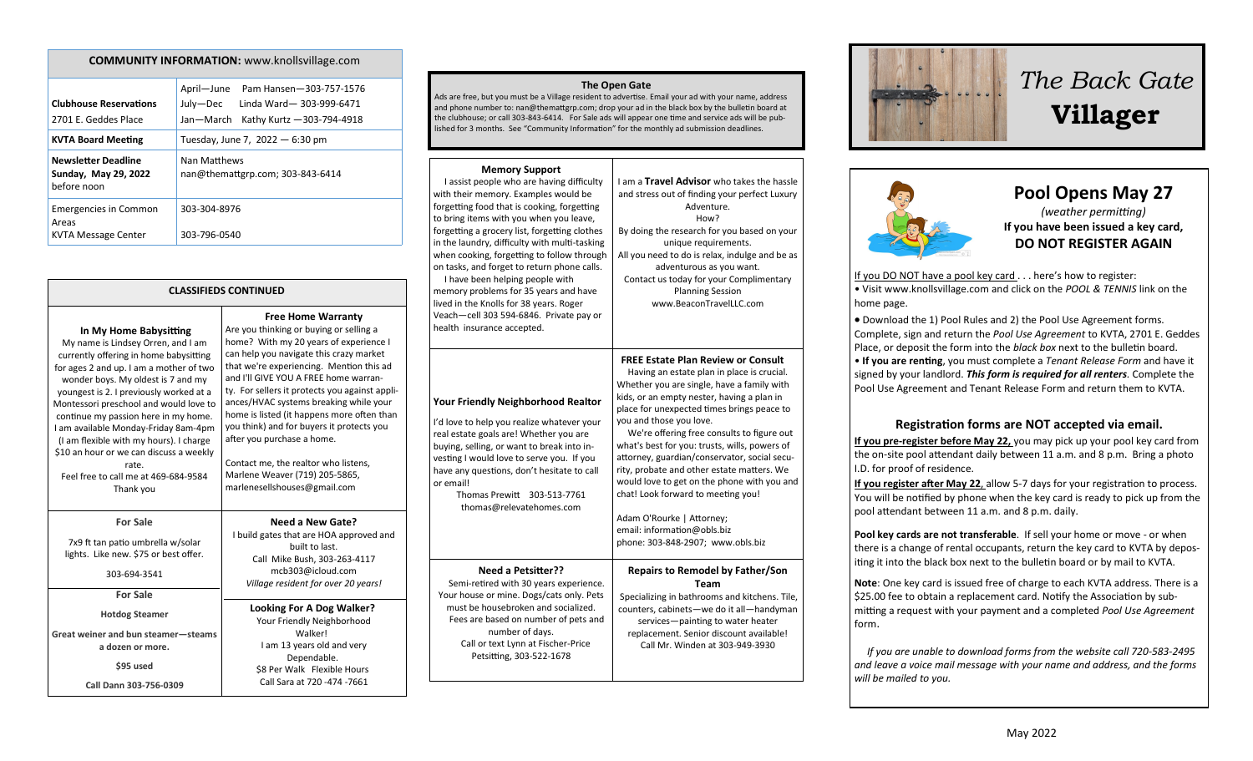| <b>COMMUNITY INFORMATION:</b> www.knollsvillage.com                 |                                                                                                                         |  |  |
|---------------------------------------------------------------------|-------------------------------------------------------------------------------------------------------------------------|--|--|
| <b>Clubhouse Reservations</b><br>2701 E. Geddes Place               | April-June<br>Pam Hansen-303-757-1576<br>July—Dec<br>Linda Ward-303-999-6471<br>Jan-March<br>Kathy Kurtz - 303-794-4918 |  |  |
| <b>KVTA Board Meeting</b>                                           | Tuesday, June 7, 2022 - 6:30 pm                                                                                         |  |  |
| <b>Newsletter Deadline</b><br>Sunday, May 29, 2022<br>before noon   | Nan Matthews<br>nan@themattgrp.com; 303-843-6414                                                                        |  |  |
| <b>Emergencies in Common</b><br>Areas<br><b>KVTA Message Center</b> | 303-304-8976<br>303-796-0540                                                                                            |  |  |

| <b>CLASSIFIEDS CONTINUED</b>                                                                                                                                                                                                                                                                                                                                                                                                                                                                                     |                                                                                                                                                                                                                                                                                                                                                                                                                                                                                                                                                                               |  |  |  |
|------------------------------------------------------------------------------------------------------------------------------------------------------------------------------------------------------------------------------------------------------------------------------------------------------------------------------------------------------------------------------------------------------------------------------------------------------------------------------------------------------------------|-------------------------------------------------------------------------------------------------------------------------------------------------------------------------------------------------------------------------------------------------------------------------------------------------------------------------------------------------------------------------------------------------------------------------------------------------------------------------------------------------------------------------------------------------------------------------------|--|--|--|
| In My Home Babysitting<br>My name is Lindsey Orren, and I am<br>currently offering in home babysitting<br>for ages 2 and up. I am a mother of two<br>wonder boys. My oldest is 7 and my<br>youngest is 2. I previously worked at a<br>Montessori preschool and would love to<br>continue my passion here in my home.<br>I am available Monday-Friday 8am-4pm<br>(I am flexible with my hours). I charge<br>\$10 an hour or we can discuss a weekly<br>rate.<br>Feel free to call me at 469-684-9584<br>Thank you | <b>Free Home Warranty</b><br>Are you thinking or buying or selling a<br>home? With my 20 years of experience I<br>can help you navigate this crazy market<br>that we're experiencing. Mention this ad<br>and I'll GIVE YOU A FREE home warran-<br>ty. For sellers it protects you against appli-<br>ances/HVAC systems breaking while your<br>home is listed (it happens more often than<br>you think) and for buyers it protects you<br>after you purchase a home.<br>Contact me, the realtor who listens,<br>Marlene Weaver (719) 205-5865,<br>marlenesellshouses@gmail.com |  |  |  |
| <b>For Sale</b>                                                                                                                                                                                                                                                                                                                                                                                                                                                                                                  | Need a New Gate?                                                                                                                                                                                                                                                                                                                                                                                                                                                                                                                                                              |  |  |  |
| 7x9 ft tan patio umbrella w/solar<br>lights. Like new. \$75 or best offer.<br>303-694-3541                                                                                                                                                                                                                                                                                                                                                                                                                       | I build gates that are HOA approved and<br>built to last.<br>Call Mike Bush, 303-263-4117<br>mcb303@icloud.com<br>Village resident for over 20 years!                                                                                                                                                                                                                                                                                                                                                                                                                         |  |  |  |
| <b>For Sale</b>                                                                                                                                                                                                                                                                                                                                                                                                                                                                                                  |                                                                                                                                                                                                                                                                                                                                                                                                                                                                                                                                                                               |  |  |  |
| <b>Hotdog Steamer</b>                                                                                                                                                                                                                                                                                                                                                                                                                                                                                            | Looking For A Dog Walker?<br>Your Friendly Neighborhood                                                                                                                                                                                                                                                                                                                                                                                                                                                                                                                       |  |  |  |
| Great weiner and bun steamer-steams<br>a dozen or more.                                                                                                                                                                                                                                                                                                                                                                                                                                                          | Walker!<br>I am 13 years old and very<br>Dependable.                                                                                                                                                                                                                                                                                                                                                                                                                                                                                                                          |  |  |  |
| \$95 used<br>Call Dann 303-756-0309                                                                                                                                                                                                                                                                                                                                                                                                                                                                              | \$8 Per Walk Flexible Hours<br>Call Sara at 720 -474 -7661                                                                                                                                                                                                                                                                                                                                                                                                                                                                                                                    |  |  |  |
|                                                                                                                                                                                                                                                                                                                                                                                                                                                                                                                  |                                                                                                                                                                                                                                                                                                                                                                                                                                                                                                                                                                               |  |  |  |

#### **The Open Gate**

Ads are free, but you must be a Village resident to advertise. Email your ad with your name, address and phone number to: nan@themattgrp.com; drop your ad in the black box by the bulletin board at the clubhouse; or call 303-843-6414. For Sale ads will appear one time and service ads will be published for 3 months. See "Community Information" for the monthly ad submission deadlines.

#### **Memory Support**

| I assist people who are having difficulty<br>with their memory. Examples would be<br>forgetting food that is cooking, forgetting<br>to bring items with you when you leave,<br>forgetting a grocery list, forgetting clothes<br>in the laundry, difficulty with multi-tasking<br>when cooking, forgetting to follow through<br>on tasks, and forget to return phone calls.<br>I have been helping people with<br>memory problems for 35 years and have<br>lived in the Knolls for 38 years. Roger<br>Veach-cell 303 594-6846. Private pay or<br>health insurance accepted. | I am a Travel Advisor who takes the hassle<br>and stress out of finding your perfect Luxury<br>Adventure.<br>How?<br>By doing the research for you based on your<br>unique requirements.<br>All you need to do is relax, indulge and be as<br>adventurous as you want.<br>Contact us today for your Complimentary<br><b>Planning Session</b><br>www.BeaconTravelLLC.com                                                                                                                                                                                                                                                                         |
|----------------------------------------------------------------------------------------------------------------------------------------------------------------------------------------------------------------------------------------------------------------------------------------------------------------------------------------------------------------------------------------------------------------------------------------------------------------------------------------------------------------------------------------------------------------------------|-------------------------------------------------------------------------------------------------------------------------------------------------------------------------------------------------------------------------------------------------------------------------------------------------------------------------------------------------------------------------------------------------------------------------------------------------------------------------------------------------------------------------------------------------------------------------------------------------------------------------------------------------|
| <b>Your Friendly Neighborhood Realtor</b><br>I'd love to help you realize whatever your<br>real estate goals are! Whether you are<br>buying, selling, or want to break into in-<br>vesting I would love to serve you. If you<br>have any questions, don't hesitate to call<br>or email!<br><b>Thomas Prewitt</b><br>303-513-7761<br>thomas@relevatehomes.com                                                                                                                                                                                                               | <b>FREE Estate Plan Review or Consult</b><br>Having an estate plan in place is crucial.<br>Whether you are single, have a family with<br>kids, or an empty nester, having a plan in<br>place for unexpected times brings peace to<br>you and those you love.<br>We're offering free consults to figure out<br>what's best for you: trusts, wills, powers of<br>attorney, guardian/conservator, social secu-<br>rity, probate and other estate matters. We<br>would love to get on the phone with you and<br>chat! Look forward to meeting you!<br>Adam O'Rourke   Attorney;<br>email: information@obls.biz<br>phone: 303-848-2907; www.obls.biz |
| <b>Need a Petsitter??</b><br>Semi-retired with 30 years experience.<br>Your house or mine. Dogs/cats only. Pets<br>must be housebroken and socialized.<br>Fees are based on number of pets and<br>number of days.<br>Call or text Lynn at Fischer-Price<br>Petsitting, 303-522-1678                                                                                                                                                                                                                                                                                        | Repairs to Remodel by Father/Son<br>Team<br>Specializing in bathrooms and kitchens. Tile,<br>counters, cabinets-we do it all-handyman<br>services-painting to water heater<br>replacement. Senior discount available!<br>Call Mr. Winden at 303-949-3930                                                                                                                                                                                                                                                                                                                                                                                        |



# *The Back Gate*  **Villager**



## **Pool Opens May 27**  *(weather permitting)* **If you have been issued a key card, DO NOT REGISTER AGAIN**

If you DO NOT have a pool key card . . . here's how to register: • Visit www.knollsvillage.com and click on the *POOL & TENNIS* link on the home page.

• Download the 1) Pool Rules and 2) the Pool Use Agreement forms. Complete, sign and return the *Pool Use Agreement* to KVTA, 2701 E. Geddes Place, or deposit the form into the *black box* next to the bulletin board. • **If you are renting**, you must complete a *Tenant Release Form* and have it signed by your landlord. *This form is required for all renters.* Complete the Pool Use Agreement and Tenant Release Form and return them to KVTA.

#### **Registration forms are NOT accepted via email.**

**If you pre-register before May 22,** you may pick up your pool key card from the on-site pool attendant daily between 11 a.m. and 8 p.m. Bring a photo I.D. for proof of residence.

**If you register after May 22, allow 5-7 days for your registration to process.** You will be notified by phone when the key card is ready to pick up from the pool attendant between 11 a.m. and 8 p.m. daily.

**Pool key cards are not transferable**. If sell your home or move - or when there is a change of rental occupants, return the key card to KVTA by depositing it into the black box next to the bulletin board or by mail to KVTA.

**Note**: One key card is issued free of charge to each KVTA address. There is a \$25.00 fee to obtain a replacement card. Notify the Association by submitting a request with your payment and a completed *Pool Use Agreement* form.

 *If you are unable to download forms from the website call 720-583-2495 and leave a voice mail message with your name and address, and the forms will be mailed to you.*